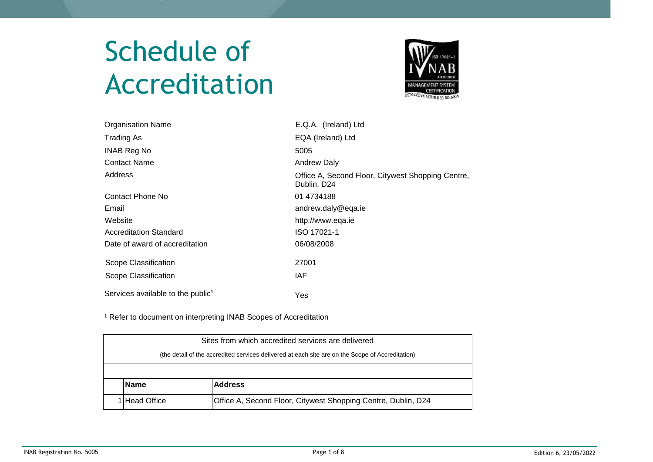# Schedule of Accreditation



| <b>Organisation Name</b>                      | E.Q.A. (Ireland) Ltd                                             |
|-----------------------------------------------|------------------------------------------------------------------|
| Trading As                                    | EQA (Ireland) Ltd                                                |
| <b>INAB Reg No</b>                            | 5005                                                             |
| <b>Contact Name</b>                           | <b>Andrew Daly</b>                                               |
| Address                                       | Office A, Second Floor, Citywest Shopping Centre,<br>Dublin, D24 |
| Contact Phone No                              | 01 4734188                                                       |
| Email                                         | andrew.daly@eqa.ie                                               |
| Website                                       | http://www.eqa.ie                                                |
| <b>Accreditation Standard</b>                 | ISO 17021-1                                                      |
| Date of award of accreditation                | 06/08/2008                                                       |
| Scope Classification                          | 27001                                                            |
| Scope Classification                          | IAF                                                              |
| Services available to the public <sup>1</sup> | Yes                                                              |

<sup>1</sup> Refer to document on interpreting INAB Scopes of Accreditation

| Sites from which accredited services are delivered                                               |  |  |
|--------------------------------------------------------------------------------------------------|--|--|
| (the detail of the accredited services delivered at each site are on the Scope of Accreditation) |  |  |
|                                                                                                  |  |  |
| <b>Name</b><br><b>Address</b>                                                                    |  |  |
| Office A, Second Floor, Citywest Shopping Centre, Dublin, D24<br><b>IHead Office</b>             |  |  |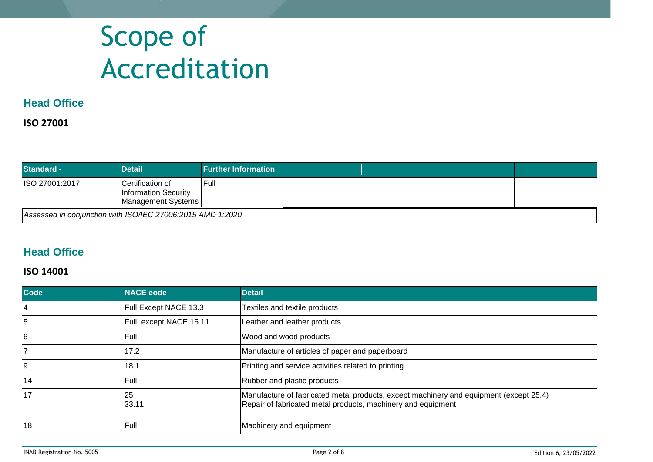## Scope of Accreditation

## **Head Office**

#### **ISO 27001**

| <b>Standard -</b>                                          | <b>Detail</b>                                                          | <b>Further Information</b> |  |  |  |
|------------------------------------------------------------|------------------------------------------------------------------------|----------------------------|--|--|--|
| <b>ISO 27001:2017</b>                                      | ICertification of<br><b>Information Security</b><br>Management Systems | <b>IFull</b>               |  |  |  |
| Assessed in conjunction with ISO/IEC 27006:2015 AMD 1:2020 |                                                                        |                            |  |  |  |

## **Head Office**

#### **ISO 14001**

| Code            | <b>NACE code</b>        | <b>Detail</b>                                                                                                                                          |
|-----------------|-------------------------|--------------------------------------------------------------------------------------------------------------------------------------------------------|
| $\overline{4}$  | Full Except NACE 13.3   | Textiles and textile products                                                                                                                          |
| 5               | Full, except NACE 15.11 | Leather and leather products                                                                                                                           |
| $6\phantom{.}6$ | Full                    | Wood and wood products                                                                                                                                 |
|                 | 17.2                    | Manufacture of articles of paper and paperboard                                                                                                        |
| 9               | 18.1                    | Printing and service activities related to printing                                                                                                    |
| 14              | Full                    | Rubber and plastic products                                                                                                                            |
| 17              | 25<br>33.11             | Manufacture of fabricated metal products, except machinery and equipment (except 25.4)<br>Repair of fabricated metal products, machinery and equipment |
| 18              | Full                    | Machinery and equipment                                                                                                                                |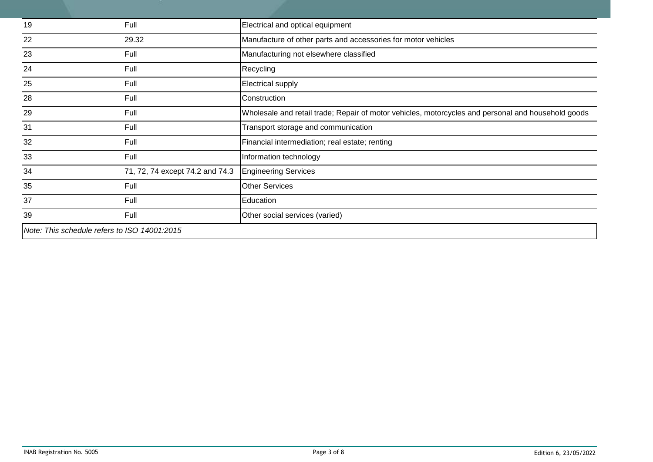| 19                                           | Full                            | Electrical and optical equipment                                                                   |
|----------------------------------------------|---------------------------------|----------------------------------------------------------------------------------------------------|
| 22                                           | 29.32                           | Manufacture of other parts and accessories for motor vehicles                                      |
| 23                                           | Full                            | Manufacturing not elsewhere classified                                                             |
| 24                                           | Full                            | Recycling                                                                                          |
| 25                                           | Full                            | <b>Electrical supply</b>                                                                           |
| 28                                           | Full                            | Construction                                                                                       |
| 29                                           | Full                            | Wholesale and retail trade; Repair of motor vehicles, motorcycles and personal and household goods |
| 31                                           | Full                            | Transport storage and communication                                                                |
| 32                                           | Full                            | Financial intermediation; real estate; renting                                                     |
| 33                                           | Full                            | Information technology                                                                             |
| 34                                           | 71, 72, 74 except 74.2 and 74.3 | <b>Engineering Services</b>                                                                        |
| 35                                           | Full                            | <b>Other Services</b>                                                                              |
| 37                                           | Full                            | Education                                                                                          |
| 39                                           | Full                            | Other social services (varied)                                                                     |
| Note: This schedule refers to ISO 14001:2015 |                                 |                                                                                                    |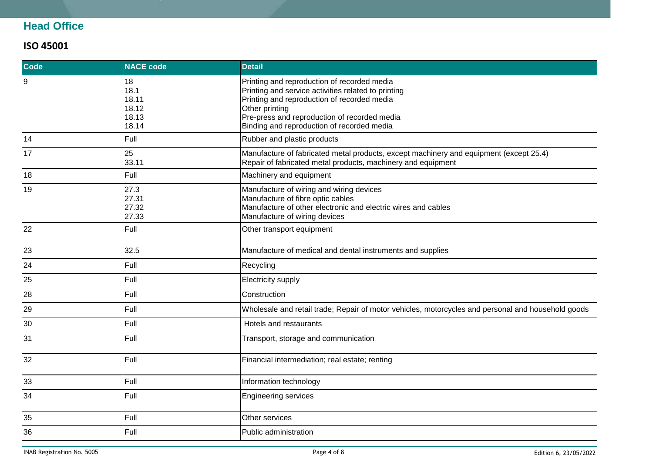## **Head Office**

#### **ISO 45001**

| Code | <b>NACE code</b>                               | <b>Detail</b>                                                                                                                                                                                                                                                     |
|------|------------------------------------------------|-------------------------------------------------------------------------------------------------------------------------------------------------------------------------------------------------------------------------------------------------------------------|
| 9    | 18<br>18.1<br>18.11<br>18.12<br>18.13<br>18.14 | Printing and reproduction of recorded media<br>Printing and service activities related to printing<br>Printing and reproduction of recorded media<br>Other printing<br>Pre-press and reproduction of recorded media<br>Binding and reproduction of recorded media |
| 14   | Full                                           | Rubber and plastic products                                                                                                                                                                                                                                       |
| 17   | 25<br>33.11                                    | Manufacture of fabricated metal products, except machinery and equipment (except 25.4)<br>Repair of fabricated metal products, machinery and equipment                                                                                                            |
| 18   | Full                                           | Machinery and equipment                                                                                                                                                                                                                                           |
| 19   | 27.3<br>27.31<br>27.32<br>27.33                | Manufacture of wiring and wiring devices<br>Manufacture of fibre optic cables<br>Manufacture of other electronic and electric wires and cables<br>Manufacture of wiring devices                                                                                   |
| 22   | Full                                           | Other transport equipment                                                                                                                                                                                                                                         |
| 23   | 32.5                                           | Manufacture of medical and dental instruments and supplies                                                                                                                                                                                                        |
| 24   | Full                                           | Recycling                                                                                                                                                                                                                                                         |
| 25   | Full                                           | Electricity supply                                                                                                                                                                                                                                                |
| 28   | Full                                           | Construction                                                                                                                                                                                                                                                      |
| 29   | Full                                           | Wholesale and retail trade; Repair of motor vehicles, motorcycles and personal and household goods                                                                                                                                                                |
| 30   | Full                                           | Hotels and restaurants                                                                                                                                                                                                                                            |
| 31   | Full                                           | Transport, storage and communication                                                                                                                                                                                                                              |
| 32   | Full                                           | Financial intermediation; real estate; renting                                                                                                                                                                                                                    |
| 33   | Full                                           | Information technology                                                                                                                                                                                                                                            |
| 34   | Full                                           | <b>Engineering services</b>                                                                                                                                                                                                                                       |
| 35   | Full                                           | Other services                                                                                                                                                                                                                                                    |
| 36   | Full                                           | Public administration                                                                                                                                                                                                                                             |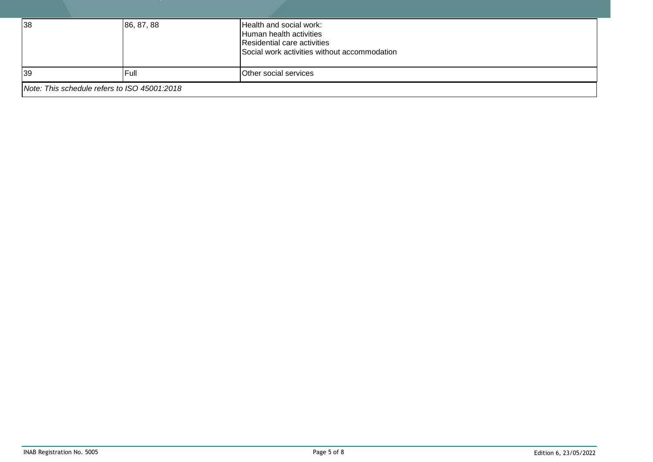| 38                                           | 86, 87, 88 | Health and social work:<br>Human health activities<br>Residential care activities<br>Social work activities without accommodation |
|----------------------------------------------|------------|-----------------------------------------------------------------------------------------------------------------------------------|
| 39                                           | Full       | Other social services                                                                                                             |
| Note: This schedule refers to ISO 45001:2018 |            |                                                                                                                                   |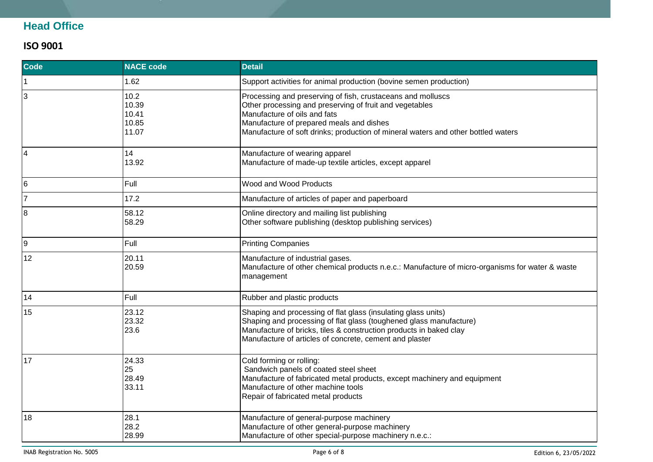## **Head Office**

#### **ISO 9001**

| <b>Code</b> | <b>NACE code</b>                         | <b>Detail</b>                                                                                                                                                                                                                                                                           |
|-------------|------------------------------------------|-----------------------------------------------------------------------------------------------------------------------------------------------------------------------------------------------------------------------------------------------------------------------------------------|
| 1           | 1.62                                     | Support activities for animal production (bovine semen production)                                                                                                                                                                                                                      |
| 3           | 10.2<br>10.39<br>10.41<br>10.85<br>11.07 | Processing and preserving of fish, crustaceans and molluscs<br>Other processing and preserving of fruit and vegetables<br>Manufacture of oils and fats<br>Manufacture of prepared meals and dishes<br>Manufacture of soft drinks; production of mineral waters and other bottled waters |
| 4           | 14<br>13.92                              | Manufacture of wearing apparel<br>Manufacture of made-up textile articles, except apparel                                                                                                                                                                                               |
| 6           | Full                                     | Wood and Wood Products                                                                                                                                                                                                                                                                  |
| 17          | 17.2                                     | Manufacture of articles of paper and paperboard                                                                                                                                                                                                                                         |
| 8           | 58.12<br>58.29                           | Online directory and mailing list publishing<br>Other software publishing (desktop publishing services)                                                                                                                                                                                 |
| 9           | Full                                     | <b>Printing Companies</b>                                                                                                                                                                                                                                                               |
| 12          | 20.11<br>20.59                           | Manufacture of industrial gases.<br>Manufacture of other chemical products n.e.c.: Manufacture of micro-organisms for water & waste<br>management                                                                                                                                       |
| 14          | Full                                     | Rubber and plastic products                                                                                                                                                                                                                                                             |
| 15          | 23.12<br>23.32<br>23.6                   | Shaping and processing of flat glass (insulating glass units)<br>Shaping and processing of flat glass (toughened glass manufacture)<br>Manufacture of bricks, tiles & construction products in baked clay<br>Manufacture of articles of concrete, cement and plaster                    |
| 17          | 24.33<br>25<br>28.49<br>33.11            | Cold forming or rolling:<br>Sandwich panels of coated steel sheet<br>Manufacture of fabricated metal products, except machinery and equipment<br>Manufacture of other machine tools<br>Repair of fabricated metal products                                                              |
| 18          | 28.1<br>28.2<br>28.99                    | Manufacture of general-purpose machinery<br>Manufacture of other general-purpose machinery<br>Manufacture of other special-purpose machinery n.e.c.:                                                                                                                                    |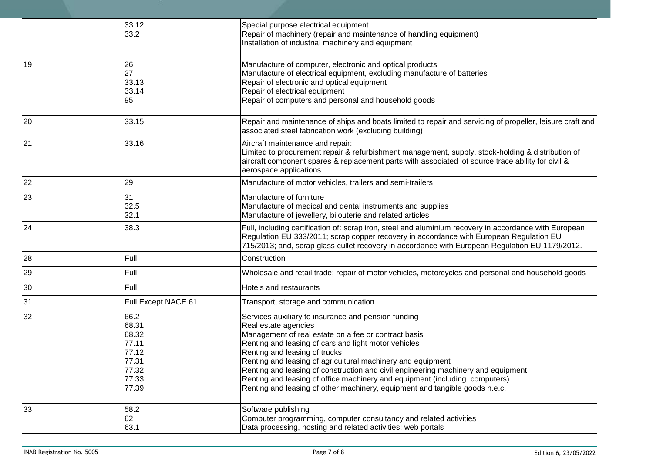|    | 33.12<br>33.2                                                                | Special purpose electrical equipment<br>Repair of machinery (repair and maintenance of handling equipment)<br>Installation of industrial machinery and equipment                                                                                                                                                                                                                                                                                                                                                                               |
|----|------------------------------------------------------------------------------|------------------------------------------------------------------------------------------------------------------------------------------------------------------------------------------------------------------------------------------------------------------------------------------------------------------------------------------------------------------------------------------------------------------------------------------------------------------------------------------------------------------------------------------------|
| 19 | 26<br>27<br>33.13<br>33.14<br>95                                             | Manufacture of computer, electronic and optical products<br>Manufacture of electrical equipment, excluding manufacture of batteries<br>Repair of electronic and optical equipment<br>Repair of electrical equipment<br>Repair of computers and personal and household goods                                                                                                                                                                                                                                                                    |
| 20 | 33.15                                                                        | Repair and maintenance of ships and boats limited to repair and servicing of propeller, leisure craft and<br>associated steel fabrication work (excluding building)                                                                                                                                                                                                                                                                                                                                                                            |
| 21 | 33.16                                                                        | Aircraft maintenance and repair:<br>Limited to procurement repair & refurbishment management, supply, stock-holding & distribution of<br>aircraft component spares & replacement parts with associated lot source trace ability for civil &<br>aerospace applications                                                                                                                                                                                                                                                                          |
| 22 | 29                                                                           | Manufacture of motor vehicles, trailers and semi-trailers                                                                                                                                                                                                                                                                                                                                                                                                                                                                                      |
| 23 | 31<br>32.5<br>32.1                                                           | Manufacture of furniture<br>Manufacture of medical and dental instruments and supplies<br>Manufacture of jewellery, bijouterie and related articles                                                                                                                                                                                                                                                                                                                                                                                            |
| 24 | 38.3                                                                         | Full, including certification of: scrap iron, steel and aluminium recovery in accordance with European<br>Regulation EU 333/2011; scrap copper recovery in accordance with European Regulation EU<br>715/2013; and, scrap glass cullet recovery in accordance with European Regulation EU 1179/2012.                                                                                                                                                                                                                                           |
| 28 | Full                                                                         | Construction                                                                                                                                                                                                                                                                                                                                                                                                                                                                                                                                   |
| 29 | Full                                                                         | Wholesale and retail trade; repair of motor vehicles, motorcycles and personal and household goods                                                                                                                                                                                                                                                                                                                                                                                                                                             |
| 30 | Full                                                                         | Hotels and restaurants                                                                                                                                                                                                                                                                                                                                                                                                                                                                                                                         |
| 31 | Full Except NACE 61                                                          | Transport, storage and communication                                                                                                                                                                                                                                                                                                                                                                                                                                                                                                           |
| 32 | 66.2<br>68.31<br>68.32<br>77.11<br>77.12<br>77.31<br>77.32<br>77.33<br>77.39 | Services auxiliary to insurance and pension funding<br>Real estate agencies<br>Management of real estate on a fee or contract basis<br>Renting and leasing of cars and light motor vehicles<br>Renting and leasing of trucks<br>Renting and leasing of agricultural machinery and equipment<br>Renting and leasing of construction and civil engineering machinery and equipment<br>Renting and leasing of office machinery and equipment (including computers)<br>Renting and leasing of other machinery, equipment and tangible goods n.e.c. |
| 33 | 58.2<br>62<br>63.1                                                           | Software publishing<br>Computer programming, computer consultancy and related activities<br>Data processing, hosting and related activities; web portals                                                                                                                                                                                                                                                                                                                                                                                       |